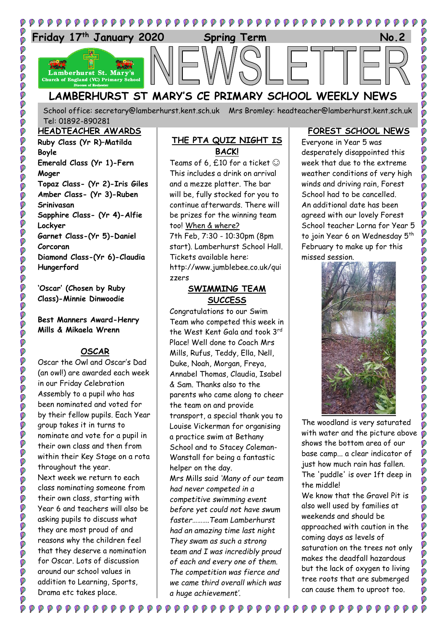

School office: [secretary@lamberhurst.kent.sch.uk](mailto:secretary@lamberhurst.kent.sch.uk) Mrs Bromley: headteacher@lamberhurst.kent.sch.uk Tel: 01892-890281

#### **HEADTEACHER AWARDS**

ø

0000

Ø

O

**O** 

.<br>Ø

ø

Ø Ø

Ø

Ø

**P** 

.<br>Ø

Ø Ø

**OCCO** 

**PPP** 

ø

**DOOOO** 

Ø .<br>Ø Ø Ø Ø Ø

**P** 

**OCCC** 

Ó

**Ruby Class (Yr R)–Matilda Boyle Emerald Class (Yr 1)-Fern Moger Topaz Class- (Yr 2)-Iris Giles Amber Class- (Yr 3)-Ruben Srinivasan Sapphire Class- (Yr 4)-Alfie Lockyer Garnet Class-(Yr 5)-Daniel Corcoran Diamond Class-(Yr 6)-Claudia Hungerford**

**'Oscar' (Chosen by Ruby Class)-Minnie Dinwoodie**

### **Best Manners Award-Henry Mills & Mikaela Wrenn**

### **OSCAR**

Oscar the Owl and Oscar's Dad (an owl!) are awarded each week in our Friday Celebration Assembly to a pupil who has been nominated and voted for by their fellow pupils. Each Year group takes it in turns to nominate and vote for a pupil in their own class and then from within their Key Stage on a rota throughout the year. Next week we return to each class nominating someone from their own class, starting with Year 6 and teachers will also be asking pupils to discuss what they are most proud of and reasons why the children feel that they deserve a nomination for Oscar. Lots of discussion around our school values in addition to Learning, Sports, Drama etc takes place.

**©©©©©©©©©** 

### **THE PTA QUIZ NIGHT IS BACK!**

Teams of 6,  $£10$  for a ticket  $©$ This includes a drink on arrival and a mezze platter. The bar will be, fully stocked for you to continue afterwards. There will be prizes for the winning team too! When & where? 7th Feb, 7:30 - 10:30pm (8pm start). Lamberhurst School Hall Tickets available here: http://www.jumblebee.co.uk/qui zzers

### **SWIMMING TEAM SUCCESS**

Congratulations to our Swim Team who competed this week in the West Kent Gala and took 3rd Place! Well done to Coach Mrs Mills, Rufus, Teddy, Ella, Nell, Duke, Noah, Morgan, Freya, Annabel Thomas, Claudia, Isabel & Sam. Thanks also to the parents who came along to cheer the team on and provide transport, a special thank you to Louise Vickerman for organising a practice swim at Bethany School and to Stacey Coleman-Wanstall for being a fantastic helper on the day. Mrs Mills said *'Many of our team had never competed in a competitive swimming event before yet could not have swum faster……….Team Lamberhurst had an amazing time last night They swam as such a strong team and I was incredibly proud of each and every one of them. The competition was fierce and we came third overall which was a huge achievement'.*

**ρρρρρρρρρρρ** 

### **FOREST SCHOOL NEWS**

Ø Ó Ø Ø

Ø

Ø Ø

Ø

Ø

Ø Ó

Ø

Ø

Ø P

Ø

Ø

Ó

POP

Ø

ø

Ø

Ø P Ø

Ó

Everyone in Year 5 was desperately disappointed this week that due to the extreme weather conditions of very high winds and driving rain, Forest School had to be cancelled. An additional date has been agreed with our lovely Forest School teacher Lorna for Year 5 to join Year 6 on Wednesday 5<sup>th</sup> February to make up for this missed session.



The woodland is very saturated with water and the picture above  $\mathbf{\dot{\Phi}}$ shows the bottom area of our base camp... a clear indicator of just how much rain has fallen. The 'puddle' is over 1ft deep in the middle!

We know that the Gravel Pit is also well used by families at weekends and should be approached with caution in the coming days as levels of saturation on the trees not only makes the deadfall hazardous but the lack of oxygen to living tree roots that are submerged can cause them to uproot too.

 $\bullet$  .  $\bullet$  .  $\bullet$  .  $\bullet$  .  $\bullet$  .  $\bullet$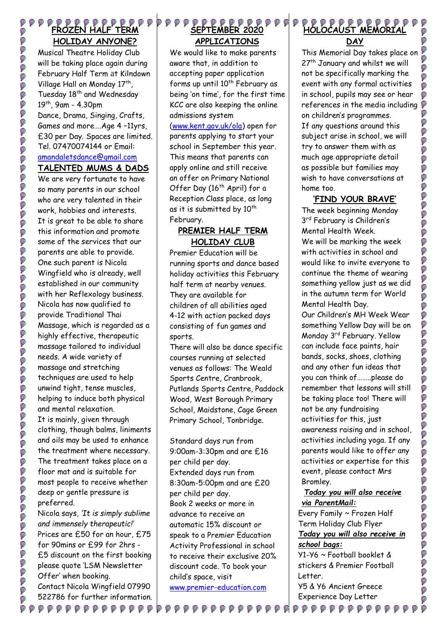## **FROZEN HALF TERM HOLIDAY ANYONE?**

Ø

99999999999999

Ó

**DOOOO** 

**DOO** 

000000

Ø

OCOOOOOO

O O O O O O O O

**O** 

Ø

**DOOOO** 

**DOO** 

Ø

Ø

P

Musical Theatre Holiday Club will be taking place again during February Half Term at Kilndown Village Hall on Monday 17<sup>th</sup>, Tuesday 18<sup>th</sup> and Wednesday 19th , 9am - 4.30pm Dance, Drama, Singing, Crafts, Games and more….Age 4 –11yrs, £30 per Day. Spaces are limited. Tel. 07470074144 or Email: [amandaletsdance@gmail.com](mailto:amandaletsdance@gmail.com) **TALENTED MUMS & DADS**

We are very fortunate to have so many parents in our school who are very talented in their work, hobbies and interests. It is great to be able to share this information and promote some of the services that our parents are able to provide. One such parent is Nicola Wingfield who is already, well established in our community with her Reflexology business. Nicola has now qualified to provide Traditional Thai Massage, which is regarded as a highly effective, therapeutic massage tailored to individual needs. A wide variety of massage and stretching techniques are used to help unwind tight, tense muscles, helping to induce both physical and mental relaxation. It is mainly, given through clothing, though balms, liniments and oils may be used to enhance the treatment where necessary. The treatment takes place on a floor mat and is suitable for most people to receive whether deep or gentle pressure is preferred.

Nicola says, *'It is simply sublime and immensely therapeutic!'* Prices are £50 for an hour, £75 for 90mins or £99 for 2hrs - £5 discount on the first booking please quote 'LSM Newsletter Offer' when booking. Contact Nicola Wingfield 07990 522786 for further information. 

Ø

## **SEPTEMBER 2020 APPLICATIONS**

We would like to make parents aware that, in addition to accepting paper application forms up until 10<sup>th</sup> February as being 'on time', for the first time KCC are also keeping the online admissions system [\(www.kent.gov.uk/ola\)](http://www.kent.gov.uk/ola) open for parents applying to start your school in September this year. This means that parents can apply online and still receive an offer on Primary National Offer Day (16<sup>th</sup> April) for a Reception Class place, as long as it is submitted by 10<sup>th</sup> February.

### **PREMIER HALF TERM HOLIDAY CLUB**

Premier Education will be running sports and dance based holiday activities this February half term at nearby venues. They are available for children of all abilities aged 4-12 with action packed days consisting of fun games and sports.

There will also be dance specific courses running at selected venues as follows: The Weald Sports Centre, Cranbrook, Putlands Sports Centre, Paddock Wood, West Borough Primary School, Maidstone, Cage Green Primary School, Tonbridge.

Standard days run from 9:00am-3:30pm and are £16 per child per day. Extended days run from 8:30am-5:00pm and are £20 per child per day. Book 2 weeks or more in advance to receive an automatic 15% discount or speak to a Premier Education Activity Professional in school to receive their exclusive 20% discount code. To book your child's space, visit [www.premier-education.com](http://www.premier-education.com/)

**₽₽₽₽₽₽₽₽₽₽₽₽₽** 

# **HOLOCAUST MEMORIAL**

**DAY**

This Memorial Day takes place on 27<sup>th</sup> January and whilst we will not be specifically marking the event with any formal activities in school, pupils may see or hear references in the media including on children's programmes. If any questions around this subject arise in school, we will try to answer them with as much age appropriate detail as possible but families may wish to have conversations at home too.

### **'FIND YOUR BRAVE'**

The week beginning Monday 3 rd February is Children's Mental Health Week. We will be marking the week with activities in school and would like to invite everyone to continue the theme of wearing something yellow just as we did in the autumn term for World Mental Health Day.

Our Children's MH Week Wear something Yellow Day will be on Monday 3rd February. Yellow can include face paints, hair bands, socks, shoes, clothing and any other fun ideas that you can think of……..please do remember that lessons will still be taking place too! There will not be any fundraising activities for this, just awareness raising and in school, activities including yoga. If any parents would like to offer any activities or expertise for this event, please contact Mrs Bromley.

### *Today you will also receive via ParentMail:*

Every Family ~ Frozen Half Term Holiday Club Flyer *Today you will also receive in school bags:*

Y1-Y6 ~ Football booklet & stickers & Premier Football Letter.

Y5 & Y6 Ancient Greece Experience Day Letter

 $\mathcal{P} \mathcal{P} \mathcal{P} \mathcal{P} \mathcal{P} \mathcal{P} \mathcal{P} \mathcal{P} \mathcal{P} \mathcal{P}$